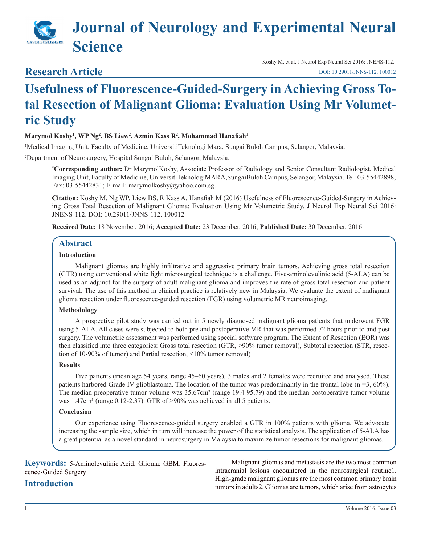# **Journal of Neurology and Experimental Neural Science**

## **Research Article**

Koshy M, et al. J Neurol Exp Neural Sci 2016: JNENS-112. [DOI: 10.29011/JNNS-112. 100012](
http://doi.org/10.29011/JNNS-112. 100012
)

## **Usefulness of Fluorescence-Guided-Surgery in Achieving Gross Total Resection of Malignant Glioma: Evaluation Using Mr Volumetric Study**

#### **Marymol Koshy1 , WP Ng2 , BS Liew2 , Azmin Kass R2 , Mohammad Hanafiah<sup>1</sup>**

1 Medical Imaging Unit, Faculty of Medicine, UniversitiTeknologi Mara, Sungai Buloh Campus, Selangor, Malaysia.

2 Department of Neurosurgery, Hospital Sungai Buloh, Selangor, Malaysia.

**\* Corresponding author:** Dr MarymolKoshy, Associate Professor of Radiology and Senior Consultant Radiologist, Medical Imaging Unit, Faculty of Medicine, UniversitiTeknologiMARA,SungaiBuloh Campus, Selangor, Malaysia. Tel: 03-55442898; Fax: 03-55442831; E-mail: marymolkoshy@yahoo.com.sg.

**Citation:** Koshy M, Ng WP, Liew BS, R Kass A, Hanafiah M (2016) Usefulness of Fluorescence-Guided-Surgery in Achieving Gross Total Resection of Malignant Glioma: Evaluation Using Mr Volumetric Study. J Neurol Exp Neural Sci 2016: JNENS-112. DOI: 10.29011/JNNS-112. 100012

**Received Date:** 18 November, 2016; **Accepted Date:** 23 December, 2016; **Published Date:** 30 December, 2016

#### **Abstract**

#### **Introduction**

Malignant gliomas are highly infiltrative and aggressive primary brain tumors. Achieving gross total resection (GTR) using conventional white light microsurgical technique is a challenge. Five-aminolevulinic acid (5-ALA) can be used as an adjunct for the surgery of adult malignant glioma and improves the rate of gross total resection and patient survival. The use of this method in clinical practice is relatively new in Malaysia. We evaluate the extent of malignant glioma resection under fluorescence-guided resection (FGR) using volumetric MR neuroimaging.

#### **Methodology**

A prospective pilot study was carried out in 5 newly diagnosed malignant glioma patients that underwent FGR using 5-ALA. All cases were subjected to both pre and postoperative MR that was performed 72 hours prior to and post surgery. The volumetric assessment was performed using special software program. The Extent of Resection (EOR) was then classified into three categories: Gross total resection (GTR, >90% tumor removal), Subtotal resection (STR, resection of 10-90% of tumor) and Partial resection, <10% tumor removal)

#### **Results**

Five patients (mean age 54 years, range 45–60 years), 3 males and 2 females were recruited and analysed. These patients harbored Grade IV glioblastoma. The location of the tumor was predominantly in the frontal lobe (n =3, 60%). The median preoperative tumor volume was 35.67cm<sup>3</sup> (range 19.4-95.79) and the median postoperative tumor volume was 1.47cm<sup>3</sup> (range 0.12-2.37). GTR of >90% was achieved in all 5 patients.

#### **Conclusion**

Our experience using Fluorescence-guided surgery enabled a GTR in 100% patients with glioma. We advocate increasing the sample size, which in turn will increase the power of the statistical analysis. The application of 5-ALA has a great potential as a novel standard in neurosurgery in Malaysia to maximize tumor resections for malignant gliomas.

**Keywords:** 5-Aminolevulinic Acid; Glioma; GBM; Fluorescence-Guided Surgery

## **Introduction**

Malignant gliomas and metastasis are the two most common intracranial lesions encountered in the neurosurgical routine1. High-grade malignant gliomas are the most common primary brain tumors in adults2. Gliomas are tumors, which arise from astrocytes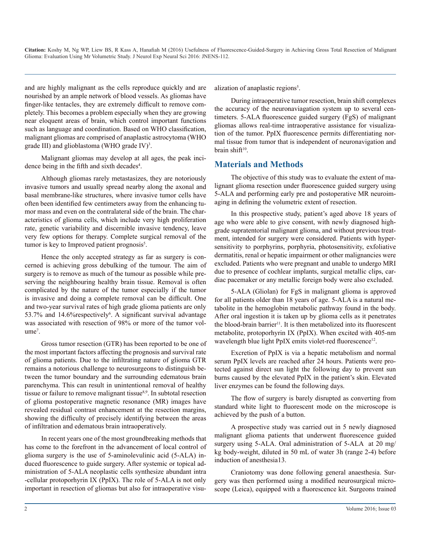and are highly malignant as the cells reproduce quickly and are nourished by an ample network of blood vessels. As gliomas have finger-like tentacles, they are extremely difficult to remove completely. This becomes a problem especially when they are growing near eloquent areas of brain, which control important functions such as language and coordination. Based on WHO classification, malignant gliomas are comprised of anaplastic astrocytoma (WHO grade III) and glioblastoma (WHO grade IV)<sup>3</sup>.

Malignant gliomas may develop at all ages, the peak incidence being in the fifth and sixth decades<sup>4</sup>.

Although gliomas rarely metastasizes, they are notoriously invasive tumors and usually spread nearby along the axonal and basal membrane-like structures, where invasive tumor cells have often been identified few centimeters away from the enhancing tumor mass and even on the contralateral side of the brain. The characteristics of glioma cells, which include very high proliferation rate, genetic variability and discernible invasive tendency, leave very few options for therapy. Complete surgical removal of the tumor is key to Improved patient prognosis<sup>5</sup>.

Hence the only accepted strategy as far as surgery is concerned is achieving gross debulking of the tumour. The aim of surgery is to remove as much of the tumour as possible while preserving the neighbouring healthy brain tissue. Removal is often complicated by the nature of the tumor especially if the tumor is invasive and doing a complete removal can be difficult. One and two-year survival rates of high grade glioma patients are only 53.7% and 14.6% respectively<sup>6</sup>. A significant survival advantage was associated with resection of 98% or more of the tumor volume<sup>7</sup>.

Gross tumor resection (GTR) has been reported to be one of the most important factors affecting the prognosis and survival rate of glioma patients. Due to the infiltrating nature of glioma GTR remains a notorious challenge to neurosurgeons to distinguish between the tumor boundary and the surrounding edematous brain parenchyma. This can result in unintentional removal of healthy tissue or failure to remove malignant tissue<sup>8,9</sup>. In subtotal resection of glioma postoperative magnetic resonance (MR) images have revealed residual contrast enhancement at the resection margins, showing the difficulty of precisely identifying between the areas of infiltration and edematous brain intraoperatively.

In recent years one of the most groundbreaking methods that has come to the forefront in the advancement of local control of glioma surgery is the use of 5-aminolevulinic acid (5-ALA) induced fluorescence to guide surgery. After systemic or topical administration of 5-ALA neoplastic cells synthesize abundant intra -cellular protoporhyrin IX (PpIX). The role of 5-ALA is not only important in resection of gliomas but also for intraoperative visualization of anaplastic regions<sup>5</sup>.

During intraoperative tumor resection, brain shift complexes the accuracy of the neuronaviagation system up to several centimeters. 5-ALA fluorescence guided surgery (FgS) of malignant gliomas allows real-time intraoperative assistance for visualization of the tumor. PpIX fluorescence permits differentiating normal tissue from tumor that is independent of neuronavigation and brain shift $10$ .

### **Materials and Methods**

The objective of this study was to evaluate the extent of malignant glioma resection under fluorescence guided surgery using 5-ALA and performing early pre and postoperative MR neuroimaging in defining the volumetric extent of resection.

In this prospective study, patient's aged above 18 years of age who were able to give consent, with newly diagnosed highgrade supratentorial malignant glioma, and without previous treatment, intended for surgery were considered. Patients with hypersensitivity to porphyrins, porphyria, photosensitivity, exfoliative dermatitis, renal or hepatic impairment or other malignancies were excluded. Patients who were pregnant and unable to undergo MRI due to presence of cochlear implants, surgical metallic clips, cardiac pacemaker or any metallic foreign body were also excluded.

5-ALA (Gliolan) for FgS in malignant glioma is approved for all patients older than 18 years of age. 5-ALA is a natural metabolite in the hemoglobin metabolic pathway found in the body. After oral ingestion it is taken up by glioma cells as it penetrates the blood-brain barrier<sup>11</sup>. It is then metabolized into its fluorescent metabolite, protoporhyrin IX (PpIX). When excited with 405-nm wavelength blue light PpIX emits violet-red fluorescence<sup>12</sup>.

Excretion of PpIX is via a hepatic metabolism and normal serum PpIX levels are reached after 24 hours. Patients were protected against direct sun light the following day to prevent sun burns caused by the elevated PpIX in the patient's skin. Elevated liver enzymes can be found the following days.

The flow of surgery is barely disrupted as converting from standard white light to fluorescent mode on the microscope is achieved by the push of a button.

A prospective study was carried out in 5 newly diagnosed malignant glioma patients that underwent fluorescence guided surgery using 5-ALA. Oral administration of 5-ALA at 20 mg/ kg body-weight, diluted in 50 mL of water 3h (range 2-4) before induction of anesthesia13.

Craniotomy was done following general anaesthesia. Surgery was then performed using a modified neurosurgical microscope (Leica), equipped with a fluorescence kit. Surgeons trained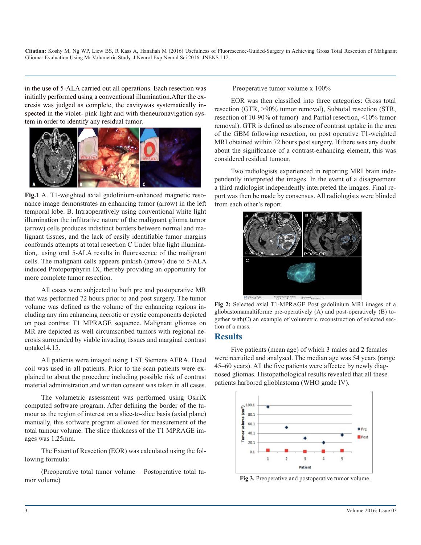in the use of 5-ALA carried out all operations. Each resection was initially performed using a conventional illumination.After the exeresis was judged as complete, the cavitywas systematically inspected in the violet- pink light and with theneuronavigation system in order to identify any residual tumor.



**Fig.1** A. T1-weighted axial gadolinium-enhanced magnetic resonance image demonstrates an enhancing tumor (arrow) in the left temporal lobe. B. Intraoperatively using conventional white light illumination the infiltrative nature of the malignant glioma tumor (arrow) cells produces indistinct borders between normal and malignant tissues, and the lack of easily identifiable tumor margins confounds attempts at total resection C Under blue light illumination,. using oral 5-ALA results in fluorescence of the malignant cells. The malignant cells appears pinkish (arrow) due to 5-ALA induced Protoporphyrin IX, thereby providing an opportunity for more complete tumor resection.

All cases were subjected to both pre and postoperative MR that was performed 72 hours prior to and post surgery. The tumor volume was defined as the volume of the enhancing regions including any rim enhancing necrotic or cystic components depicted on post contrast T1 MPRAGE sequence. Malignant gliomas on MR are depicted as well circumscribed tumors with regional necrosis surrounded by viable invading tissues and marginal contrast uptake14,15.

All patients were imaged using 1.5T Siemens AERA. Head coil was used in all patients. Prior to the scan patients were explained to about the procedure including possible risk of contrast material administration and written consent was taken in all cases.

The volumetric assessment was performed using OsiriX computed software program. After defining the border of the tumour as the region of interest on a slice-to-slice basis (axial plane) manually, this software program allowed for measurement of the total tumour volume. The slice thickness of the T1 MPRAGE images was 1.25mm.

The Extent of Resection (EOR) was calculated using the following formula:

(Preoperative total tumor volume – Postoperative total tumor volume)

Preoperative tumor volume x 100%

EOR was then classified into three categories: Gross total resection (GTR, >90% tumor removal), Subtotal resection (STR, resection of 10-90% of tumor) and Partial resection, <10% tumor removal). GTR is defined as absence of contrast uptake in the area of the GBM following resection, on post operative T1-weighted MRI obtained within 72 hours post surgery. If there was any doubt about the significance of a contrast-enhancing element, this was considered residual tumour.

Two radiologists experienced in reporting MRI brain independently interpreted the images. In the event of a disagreement a third radiologist independently interpreted the images. Final report was then be made by consensus. All radiologists were blinded from each other's report.



**Fig 2:** Selected axial T1-MPRAGE Post gadolinium MRI images of a gliobastomamaltiforme pre-operatively (A) and post-operatively (B) together with(C) an example of volumetric reconstruction of selected section of a mass.

#### **Results**

Five patients (mean age) of which 3 males and 2 females were recruited and analysed. The median age was 54 years (range 45–60 years). All the five patients were affectec by newly diagnosed gliomas. Histopathological results revealed that all these patients harbored glioblastoma (WHO grade IV).



**Fig 3.** Preoperative and postoperative tumor volume.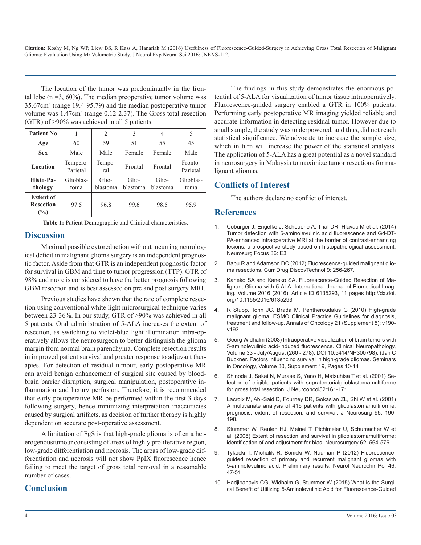The location of the tumor was predominantly in the frontal lobe ( $n = 3$ , 60%). The median preoperative tumor volume was 35.67cm³ (range 19.4-95.79) and the median postoperative tumor volume was 1.47cm<sup>3</sup> (range 0.12-2.37). The Gross total resection (GTR) of >90% was achieved in all 5 patients.

| <b>Patient No</b>                           |                      | $\overline{2}$    |                   |                   |                     |
|---------------------------------------------|----------------------|-------------------|-------------------|-------------------|---------------------|
| Age                                         | 60                   | 59                | 51                | 55                | 45                  |
| <b>Sex</b>                                  | Male                 | Male              | Female            | Female            | Male                |
| Location                                    | Tempero-<br>Parietal | Tempo-<br>ral     | Frontal           | Frontal           | Fronto-<br>Parietal |
| Histo-Pa-<br>thology                        | Glioblas-<br>toma    | Glio-<br>blastoma | Glio-<br>blastoma | Glio-<br>blastoma | Glioblas-<br>toma   |
| <b>Extent of</b><br><b>Resection</b><br>(%) | 97.5                 | 96.8              | 99.6              | 98.5              | 95.9                |

**Table 1:** Patient Demographic and Clinical characteristics.

#### **Discussion**

Maximal possible cytoreduction without incurring neurological deficit in malignant glioma surgery is an independent prognostic factor. Aside from that GTR is an independent prognostic factor for survival in GBM and time to tumor progression (TTP). GTR of 98% and more is considered to have the better prognosis following GBM resection and is best assessed on pre and post surgery MRI.

Previous studies have shown that the rate of complete resection using conventional white light microsurgical technique varies between 23-36%. In our study, GTR of >90% was achieved in all 5 patients. Oral administration of 5-ALA increases the extent of resection, as switching to violet-blue light illumination intra-operatively allows the neurosurgeon to better distinguish the glioma margin from normal brain parenchyma. Complete resection results in improved patient survival and greater response to adjuvant therapies. For detection of residual tumour, early postoperative MR can avoid benign enhancement of surgical site caused by bloodbrain barrier disruption, surgical manipulation, postoperative inflammation and luxury perfusion. Therefore, it is recommended that early postoperative MR be performed within the first 3 days following surgery, hence minimizing interpretation inaccuracies caused by surgical artifacts, as decision of further therapy is highly dependent on accurate post-operative assessment.

A limitation of FgS is that high-grade glioma is often a heterogenoustumour consisting of areas of highly proliferative region, low-grade differentiation and necrosis. The areas of low-grade differentiation and necrosis will not show PpIX fluorescence hence failing to meet the target of gross total removal in a reasonable number of cases.

## **Conclusion**

The findings in this study demonstrates the enormous potential of 5-ALA for visualization of tumor tissue intraoperatively. Fluorescence-guided surgery enabled a GTR in 100% patients. Performing early postoperative MR imaging yielded reliable and accurate information in detecting residual tumor. However due to small sample, the study was underpowered, and thus, did not reach statistical significance. We advocate to increase the sample size, which in turn will increase the power of the statistical analysis. The application of 5-ALA has a great potential as a novel standard in neurosurgery in Malaysia to maximize tumor resections for malignant gliomas.

## **Conflicts of Interest**

The authors declare no conflict of interest.

#### **References**

- 1. [Coburger J, Engelke J, Scheuerle A, Thal DR, Hlavac M et al. \(2014\)](http://www.ncbi.nlm.nih.gov/pubmed/)  Tumor detection with 5-aminolevulinic acid fluorescence and Gd-DT-[PA-enhanced intraoperative MRI at the border of contrast-enhancing](http://www.ncbi.nlm.nih.gov/pubmed/)  [lesions: a prospective study based on histopathological assessment.](http://www.ncbi.nlm.nih.gov/pubmed/)  [Neurosurg Focus 36: E3](http://www.ncbi.nlm.nih.gov/pubmed/).
- 2. [Babu R and Adamson DC \(2012\) Fluorescence-guided malignant glio](http://www.ncbi.nlm.nih.gov/pubmed/)ma resections. Curr Drug DiscovTechnol 9: 256-267.
- 3. Kaneko SA and Kaneko SA. Fluorescence-Guided Resection of Malignant Glioma with 5-ALA. International Journal of Biomedical Imaging. Volume 2016 (2016), Article ID 6135293, 11 pages http://dx.doi. org/10.1155/2016/6135293
- 4. [R Stupp, Tonn JC, Brada M, Pentheroudakis G \(2010\) High-grade](http://annonc.oxfordjournals.org/content/21/suppl_5/v190.short)  malignant glioma: ESMO Clinical Practice Guidelines for diagnosis, [treatment and follow-up. Annals of Oncology 21 \(Supplement 5\): v190](http://annonc.oxfordjournals.org/content/21/suppl_5/v190.short) [v193.](http://annonc.oxfordjournals.org/content/21/suppl_5/v190.short)
- 5. Georg Widhalm (2003) Intraoperative visualization of brain tumors with 5-aminolevulinic acid-induced fluorescence. Clinical Neuropathology, Volume 33 - July/August (260 - 278). DOI 10.5414/NP300798). (Jan C Buckner. Factors influencing survival in high-grade gliomas. Seminars in Oncology, Volume 30, Supplement 19, Pages 10-14
- 6. [Shinoda J, Sakai N, Murase S, Yano H, Matsuhisa T et al. \(2001\) Se](http://link.springer.com/article/10.1023/A:1010624504311)lection of eligible patients with supratentorialglioblastomamultiforme [for gross total resection. J Neurooncol52:161-171](http://link.springer.com/article/10.1023/A:1010624504311).
- 7. [Lacroix M, Abi-Said D, Fourney DR, Gokaslan ZL, Shi W et al. \(2001\)](http://www.ncbi.nlm.nih.gov/pubmed/)  A multivariate analysis of 416 patients with glioblastomamultiforme: [prognosis, extent of resection, and survival. J Neurosurg 95: 190-](http://www.ncbi.nlm.nih.gov/pubmed/) [198](http://www.ncbi.nlm.nih.gov/pubmed/).
- 8. [Stummer W, Reulen HJ, Meinel T, Pichlmeier U, Schumacher W et](http://www.ncbi.nlm.nih.gov/pubmed/)  al. (2008) Extent of resection and survival in glioblastomamultiforme: [identification of and adjustment for bias. Neurosurgery 62: 564-576](http://www.ncbi.nlm.nih.gov/pubmed/).
- 9. [Tykocki T, Michalik R, Bonicki W, Nauman P \(2012\) Fluorescence](http://www.sciencedirect.com/science/article/pii/S0028384314600943)guided resection of primary and recurrent malignant gliomas with [5-aminolevulinic acid. Preliminary results. Neurol Neurochir Pol 46:](http://www.sciencedirect.com/science/article/pii/S0028384314600943) [47-5](http://www.sciencedirect.com/science/article/pii/S0028384314600943)1
- 10. [Hadjipanayis CG, Widhalm G, Stummer W \(2015\) What is the Surgi](http://journals.lww.com/neurosurgery/Abstract/2015/11000/What_is_the_Surgical_Benefit_of_Utilizing.1.aspx)cal Benefit of Utilizing 5-Aminolevulinic Acid for Fluorescence-Guided